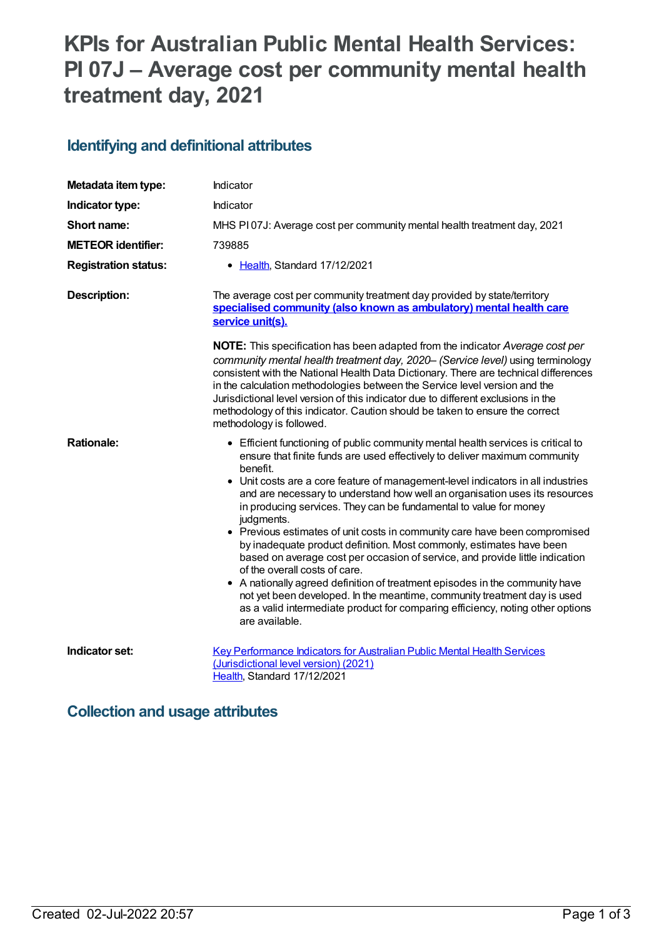# **KPIs for Australian Public Mental Health Services: PI 07J – Average cost per community mental health treatment day, 2021**

#### **Identifying and definitional attributes**

| Metadata item type:         | Indicator                                                                                                                                                                                                                                                                                                                                                                                                                                                                                                                                                                                                                                                                                                                                                                                                                                                                                                                                                                |
|-----------------------------|--------------------------------------------------------------------------------------------------------------------------------------------------------------------------------------------------------------------------------------------------------------------------------------------------------------------------------------------------------------------------------------------------------------------------------------------------------------------------------------------------------------------------------------------------------------------------------------------------------------------------------------------------------------------------------------------------------------------------------------------------------------------------------------------------------------------------------------------------------------------------------------------------------------------------------------------------------------------------|
| Indicator type:             | Indicator                                                                                                                                                                                                                                                                                                                                                                                                                                                                                                                                                                                                                                                                                                                                                                                                                                                                                                                                                                |
| Short name:                 | MHS PI07J: Average cost per community mental health treatment day, 2021                                                                                                                                                                                                                                                                                                                                                                                                                                                                                                                                                                                                                                                                                                                                                                                                                                                                                                  |
| <b>METEOR identifier:</b>   | 739885                                                                                                                                                                                                                                                                                                                                                                                                                                                                                                                                                                                                                                                                                                                                                                                                                                                                                                                                                                   |
| <b>Registration status:</b> | • Health, Standard 17/12/2021                                                                                                                                                                                                                                                                                                                                                                                                                                                                                                                                                                                                                                                                                                                                                                                                                                                                                                                                            |
| <b>Description:</b>         | The average cost per community treatment day provided by state/territory<br>specialised community (also known as ambulatory) mental health care<br>service unit(s).                                                                                                                                                                                                                                                                                                                                                                                                                                                                                                                                                                                                                                                                                                                                                                                                      |
|                             | <b>NOTE:</b> This specification has been adapted from the indicator Average cost per<br>community mental health treatment day, 2020– (Service level) using terminology<br>consistent with the National Health Data Dictionary. There are technical differences<br>in the calculation methodologies between the Service level version and the<br>Jurisdictional level version of this indicator due to different exclusions in the<br>methodology of this indicator. Caution should be taken to ensure the correct<br>methodology is followed.                                                                                                                                                                                                                                                                                                                                                                                                                            |
| <b>Rationale:</b>           | • Efficient functioning of public community mental health services is critical to<br>ensure that finite funds are used effectively to deliver maximum community<br>benefit.<br>• Unit costs are a core feature of management-level indicators in all industries<br>and are necessary to understand how well an organisation uses its resources<br>in producing services. They can be fundamental to value for money<br>judgments.<br>• Previous estimates of unit costs in community care have been compromised<br>by inadequate product definition. Most commonly, estimates have been<br>based on average cost per occasion of service, and provide little indication<br>of the overall costs of care.<br>• A nationally agreed definition of treatment episodes in the community have<br>not yet been developed. In the meantime, community treatment day is used<br>as a valid intermediate product for comparing efficiency, noting other options<br>are available. |
| Indicator set:              | Key Performance Indicators for Australian Public Mental Health Services<br>(Jurisdictional level version) (2021)<br>Health, Standard 17/12/2021                                                                                                                                                                                                                                                                                                                                                                                                                                                                                                                                                                                                                                                                                                                                                                                                                          |

#### **Collection and usage attributes**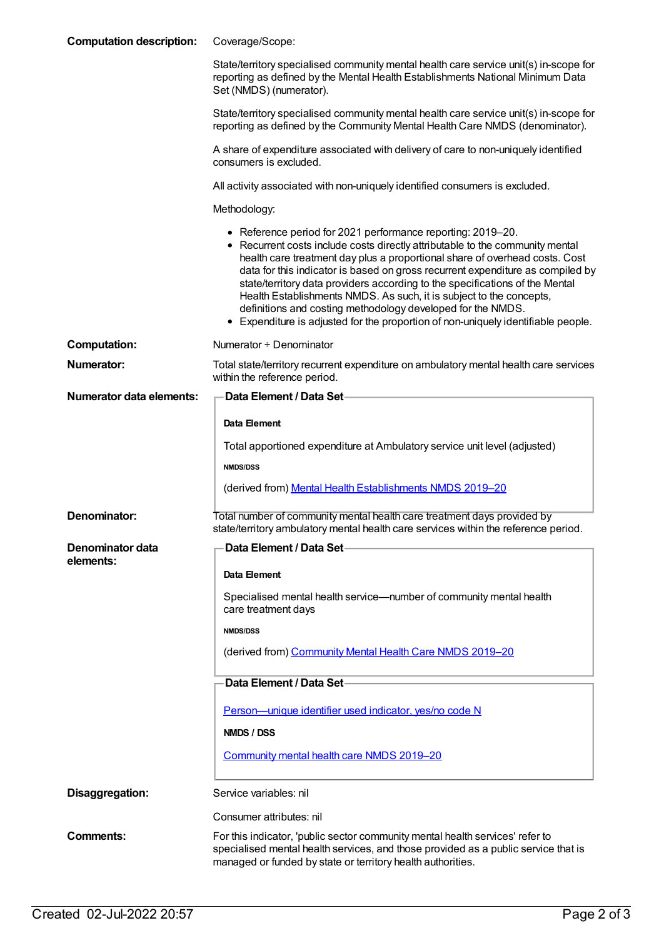| <b>Computation description:</b> | Coverage/Scope:                                                                                                                                                                                                                                                                                                                                                                                                                                                                                                                                                                                                          |
|---------------------------------|--------------------------------------------------------------------------------------------------------------------------------------------------------------------------------------------------------------------------------------------------------------------------------------------------------------------------------------------------------------------------------------------------------------------------------------------------------------------------------------------------------------------------------------------------------------------------------------------------------------------------|
|                                 | State/territory specialised community mental health care service unit(s) in-scope for<br>reporting as defined by the Mental Health Establishments National Minimum Data<br>Set (NMDS) (numerator).                                                                                                                                                                                                                                                                                                                                                                                                                       |
|                                 | State/territory specialised community mental health care service unit(s) in-scope for<br>reporting as defined by the Community Mental Health Care NMDS (denominator).                                                                                                                                                                                                                                                                                                                                                                                                                                                    |
|                                 | A share of expenditure associated with delivery of care to non-uniquely identified<br>consumers is excluded.                                                                                                                                                                                                                                                                                                                                                                                                                                                                                                             |
|                                 | All activity associated with non-uniquely identified consumers is excluded.                                                                                                                                                                                                                                                                                                                                                                                                                                                                                                                                              |
|                                 | Methodology:                                                                                                                                                                                                                                                                                                                                                                                                                                                                                                                                                                                                             |
|                                 | • Reference period for 2021 performance reporting: 2019-20.<br>• Recurrent costs include costs directly attributable to the community mental<br>health care treatment day plus a proportional share of overhead costs. Cost<br>data for this indicator is based on gross recurrent expenditure as compiled by<br>state/territory data providers according to the specifications of the Mental<br>Health Establishments NMDS. As such, it is subject to the concepts,<br>definitions and costing methodology developed for the NMDS.<br>• Expenditure is adjusted for the proportion of non-uniquely identifiable people. |
| <b>Computation:</b>             | Numerator + Denominator                                                                                                                                                                                                                                                                                                                                                                                                                                                                                                                                                                                                  |
| <b>Numerator:</b>               | Total state/territory recurrent expenditure on ambulatory mental health care services<br>within the reference period.                                                                                                                                                                                                                                                                                                                                                                                                                                                                                                    |
| <b>Numerator data elements:</b> | Data Element / Data Set-                                                                                                                                                                                                                                                                                                                                                                                                                                                                                                                                                                                                 |
|                                 | Data Element                                                                                                                                                                                                                                                                                                                                                                                                                                                                                                                                                                                                             |
|                                 | Total apportioned expenditure at Ambulatory service unit level (adjusted)                                                                                                                                                                                                                                                                                                                                                                                                                                                                                                                                                |
|                                 | <b>NMDS/DSS</b>                                                                                                                                                                                                                                                                                                                                                                                                                                                                                                                                                                                                          |
|                                 | (derived from) Mental Health Establishments NMDS 2019-20                                                                                                                                                                                                                                                                                                                                                                                                                                                                                                                                                                 |
| Denominator:                    | Total number of community mental health care treatment days provided by<br>state/territory ambulatory mental health care services within the reference period.                                                                                                                                                                                                                                                                                                                                                                                                                                                           |
| Denominator data<br>elements:   | Data Element / Data Set-                                                                                                                                                                                                                                                                                                                                                                                                                                                                                                                                                                                                 |
|                                 | Data Element                                                                                                                                                                                                                                                                                                                                                                                                                                                                                                                                                                                                             |
|                                 | Specialised mental health service—number of community mental health<br>care treatment days                                                                                                                                                                                                                                                                                                                                                                                                                                                                                                                               |
|                                 | <b>NMDS/DSS</b>                                                                                                                                                                                                                                                                                                                                                                                                                                                                                                                                                                                                          |
|                                 | (derived from) Community Mental Health Care NMDS 2019-20                                                                                                                                                                                                                                                                                                                                                                                                                                                                                                                                                                 |
|                                 | Data Element / Data Set-                                                                                                                                                                                                                                                                                                                                                                                                                                                                                                                                                                                                 |
|                                 | Person-unique identifier used indicator, yes/no code N                                                                                                                                                                                                                                                                                                                                                                                                                                                                                                                                                                   |
|                                 | NMDS / DSS                                                                                                                                                                                                                                                                                                                                                                                                                                                                                                                                                                                                               |
|                                 | Community mental health care NMDS 2019-20                                                                                                                                                                                                                                                                                                                                                                                                                                                                                                                                                                                |
| Disaggregation:                 | Service variables: nil                                                                                                                                                                                                                                                                                                                                                                                                                                                                                                                                                                                                   |
|                                 | Consumer attributes: nil                                                                                                                                                                                                                                                                                                                                                                                                                                                                                                                                                                                                 |
| <b>Comments:</b>                | For this indicator, 'public sector community mental health services' refer to<br>specialised mental health services, and those provided as a public service that is<br>managed or funded by state or territory health authorities.                                                                                                                                                                                                                                                                                                                                                                                       |